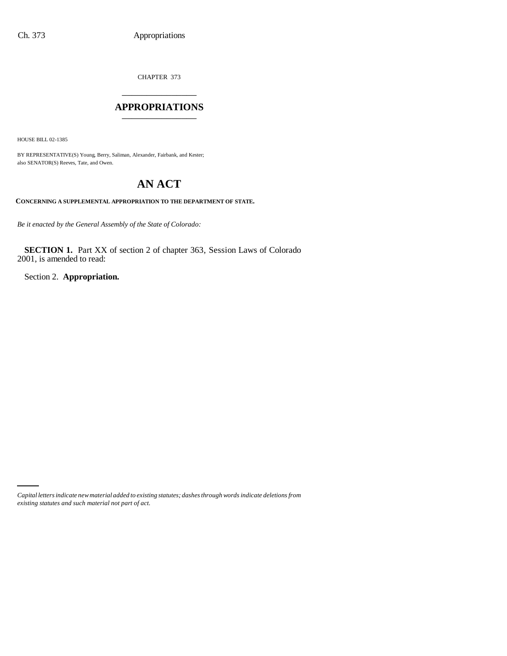CHAPTER 373

## \_\_\_\_\_\_\_\_\_\_\_\_\_\_\_ **APPROPRIATIONS** \_\_\_\_\_\_\_\_\_\_\_\_\_\_\_

HOUSE BILL 02-1385

BY REPRESENTATIVE(S) Young, Berry, Saliman, Alexander, Fairbank, and Kester; also SENATOR(S) Reeves, Tate, and Owen.

# **AN ACT**

#### **CONCERNING A SUPPLEMENTAL APPROPRIATION TO THE DEPARTMENT OF STATE.**

*Be it enacted by the General Assembly of the State of Colorado:*

**SECTION 1.** Part XX of section 2 of chapter 363, Session Laws of Colorado 2001, is amended to read:

Section 2. **Appropriation.**

*Capital letters indicate new material added to existing statutes; dashes through words indicate deletions from existing statutes and such material not part of act.*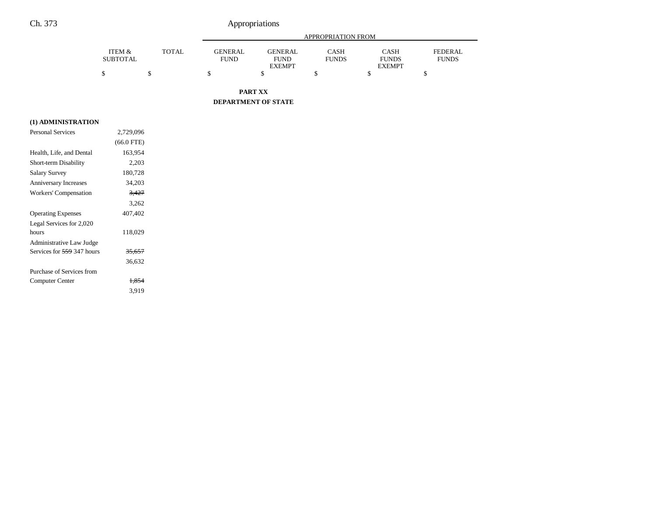## Ch. 373 Appropriations

|                           |       | APPROPRIATION FROM            |                               |                             |                             |                         |
|---------------------------|-------|-------------------------------|-------------------------------|-----------------------------|-----------------------------|-------------------------|
| ITEM &<br><b>SUBTOTAL</b> | TOTAL | <b>GENERAL</b><br><b>FUND</b> | <b>GENERAL</b><br><b>FUND</b> | <b>CASH</b><br><b>FUNDS</b> | <b>CASH</b><br><b>FUNDS</b> | FEDERAL<br><b>FUNDS</b> |
|                           |       |                               | <b>EXEMPT</b>                 |                             | <b>EXEMPT</b>               |                         |
|                           |       |                               |                               |                             |                             |                         |

**PART XX**

**DEPARTMENT OF STATE**

### **(1) ADMINISTRATION**

| <b>Personal Services</b>     | 2.729.096         |  |
|------------------------------|-------------------|--|
|                              | $(66.0$ FTE)      |  |
| Health, Life, and Dental     | 163,954           |  |
| Short-term Disability        | 2,203             |  |
| Salary Survey                | 180,728           |  |
| <b>Anniversary Increases</b> | 34,203            |  |
| Workers' Compensation        | 3,427             |  |
|                              | 3,262             |  |
| <b>Operating Expenses</b>    | 407,402           |  |
| Legal Services for 2,020     |                   |  |
| hours                        | 118,029           |  |
| Administrative Law Judge     |                   |  |
| Services for 559 347 hours   | <del>35,657</del> |  |
|                              | 36,632            |  |
| Purchase of Services from    |                   |  |
| Computer Center              | 1,854             |  |
|                              | 3.919             |  |
|                              |                   |  |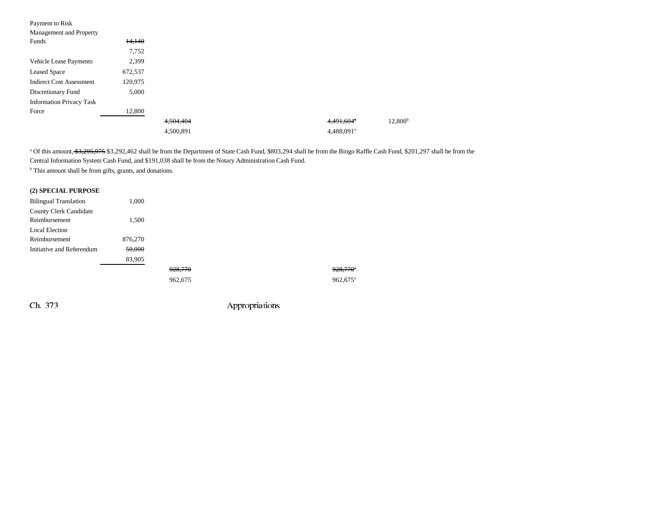| Payment to Risk                 |         |           |  |                        |                     |
|---------------------------------|---------|-----------|--|------------------------|---------------------|
| Management and Property         |         |           |  |                        |                     |
| Funds                           | 14,140  |           |  |                        |                     |
|                                 | 7,752   |           |  |                        |                     |
| <b>Vehicle Lease Payments</b>   | 2,399   |           |  |                        |                     |
| <b>Leased Space</b>             | 672,537 |           |  |                        |                     |
| <b>Indirect Cost Assessment</b> | 120,975 |           |  |                        |                     |
| Discretionary Fund              | 5,000   |           |  |                        |                     |
| <b>Information Privacy Task</b> |         |           |  |                        |                     |
| Force                           | 12,800  |           |  |                        |                     |
|                                 |         | 4,504,404 |  | 4,491,604*             | 12,800 <sup>b</sup> |
|                                 |         | 4,500,891 |  | 4,488,091 <sup>a</sup> |                     |

<sup>a</sup> Of this amount, \$3,295,975 \$3,292,462 shall be from the Department of State Cash Fund, \$803,294 shall be from the Bingo Raffle Cash Fund, \$201,297 shall be from the Central Information System Cash Fund, and \$191,038 shall be from the Notary Administration Cash Fund.

<sup>b</sup> This amount shall be from gifts, grants, and donations.

## **(2) SPECIAL PURPOSE**

| <b>Bilingual Translation</b>  | 1,000   |         |  |                        |
|-------------------------------|---------|---------|--|------------------------|
| <b>County Clerk Candidate</b> |         |         |  |                        |
| Reimbursement                 | 1,500   |         |  |                        |
| <b>Local Election</b>         |         |         |  |                        |
| Reimbursement                 | 876,270 |         |  |                        |
| Initiative and Referendum     | 50,000  |         |  |                        |
|                               | 83,905  |         |  |                        |
|                               |         | 928,770 |  | $928,770^{\circ}$      |
|                               |         | 962,675 |  | $962,675$ <sup>a</sup> |

Ch. 373 Appropriations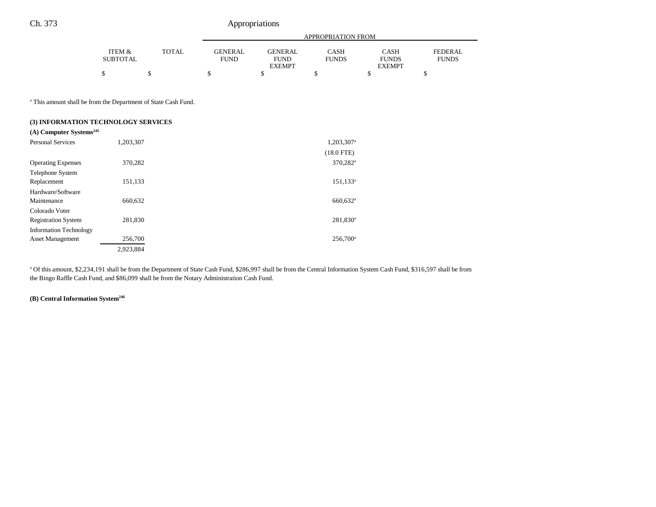## Ch. 373 Appropriations

|                           |              | <b>APPROPRIATION FROM</b>     |                        |                             |                      |                                |
|---------------------------|--------------|-------------------------------|------------------------|-----------------------------|----------------------|--------------------------------|
| ITEM &<br><b>SUBTOTAL</b> | <b>TOTAL</b> | <b>GENERAL</b><br><b>FUND</b> | GENERAL<br><b>FUND</b> | <b>CASH</b><br><b>FUNDS</b> | CASH<br><b>FUNDS</b> | <b>FEDERAL</b><br><b>FUNDS</b> |
| ¢<br>◡                    |              |                               | <b>EXEMPT</b>          |                             | <b>EXEMPT</b>        |                                |
|                           |              |                               |                        |                             |                      |                                |

a This amount shall be from the Department of State Cash Fund.

#### **(3) INFORMATION TECHNOLOGY SERVICES**

| $(A)$ Computer Systems <sup>245</sup> |           |                        |
|---------------------------------------|-----------|------------------------|
| <b>Personal Services</b>              | 1,203,307 | 1,203,307 <sup>a</sup> |
|                                       |           | $(18.0$ FTE)           |
| <b>Operating Expenses</b>             | 370,282   | 370,282 <sup>a</sup>   |
| Telephone System                      |           |                        |
| Replacement                           | 151,133   | $151, 133^a$           |
| Hardware/Software                     |           |                        |
| Maintenance                           | 660,632   | 660,632 <sup>a</sup>   |
| Colorado Voter                        |           |                        |
| <b>Registration System</b>            | 281,830   | 281,830 <sup>a</sup>   |
| <b>Information Technology</b>         |           |                        |
| <b>Asset Management</b>               | 256,700   | $256,700^{\circ}$      |
|                                       | 2,923,884 |                        |

a Of this amount, \$2,234,191 shall be from the Department of State Cash Fund, \$286,997 shall be from the Central Information System Cash Fund, \$316,597 shall be from the Bingo Raffle Cash Fund, and \$86,099 shall be from the Notary Administration Cash Fund.

## **(B) Central Information System246**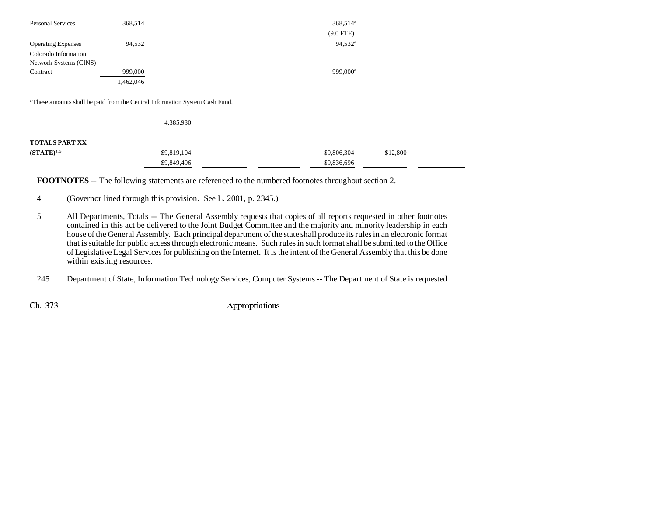| <b>Personal Services</b>  | 368,514   | 368,514 <sup>a</sup> |
|---------------------------|-----------|----------------------|
|                           |           | $(9.0$ FTE)          |
| <b>Operating Expenses</b> | 94,532    | $94.532^{\circ}$     |
| Colorado Information      |           |                      |
| Network Systems (CINS)    |           |                      |
| Contract                  | 999,000   | 999.000 <sup>a</sup> |
|                           | 1,462,046 |                      |

<sup>a</sup> These amounts shall be paid from the Central Information System Cash Fund.

4,385,930

#### **TOTALS PART XX**

| $(STATE)^{4,5}$ | \$9,819,104 | \$9,806,304 | \$12,800 |
|-----------------|-------------|-------------|----------|
|                 | \$9,849,496 | \$9,836,696 |          |

**FOOTNOTES** -- The following statements are referenced to the numbered footnotes throughout section 2.

4 (Governor lined through this provision. See L. 2001, p. 2345.)

5 All Departments, Totals -- The General Assembly requests that copies of all reports requested in other footnotes contained in this act be delivered to the Joint Budget Committee and the majority and minority leadership in each house of the General Assembly. Each principal department of the state shall produce its rules in an electronic format that is suitable for public access through electronic means. Such rules in such format shall be submitted to the Office of Legislative Legal Services for publishing on the Internet. It is the intent of the General Assembly that this be done within existing resources.

245 Department of State, Information Technology Services, Computer Systems -- The Department of State is requested

Ch. 373 Appropriations